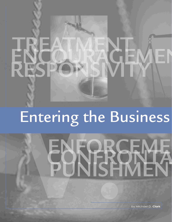## Entering the Business



by Michael D. **Clark**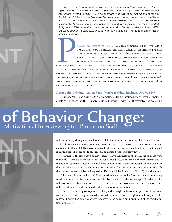*This article begins a two-part series on increasing motivation with involuntary clients, focus*ing on mandated offenders placed under probation supervision by court orders. Motivational *Interviewing (Miller & Rollnick, 1991) is an approach that was first developed and applied in the field of addictions but has broadened and become a favored approach for use with numerous populations across a variety of settings (Burke, Arkowitz & Dunn, 2002). In our own field of criminal justice, evidence-based practice as outlined by criminologists has recommended that justice staff be responsive to motivational issues with offenders (Andrews & Bonta, 2003). This series attempts to lend substance to that recommendation with suggestions for direct practice application.* 

POBATION STAFF CIAM OR FOR "HOW TO'S" AND SEEK KNOWLEDGE AS THEY WORK HARD TO MANAGE HIGH VOILM E CASELOADS. THE SEOOND ARTICLE OF THIS SERIES WILL ADDRESS SUCH STRATEGIES AND TECHNIQUES FOR THE LINE OFFICER BUT PATIENCE I M ANAGE HIGH VOLUM E CASELOADS. THE SECOND ARTICLE OF THIS SERIES WILL ADDRESS SUCH STRATEGIES AND TECHNIQUES FOR THE LINE OFfiCER. BUT P ATIENCE IS NECESSARY AS MOTIVATIONAL INTERVIEWING (MI) IS NOTJUSTA COLLECTION OF TECHNIQUES TO AP P LY TO AN OFFENDER. RAISING M OTIVATION LEVELS AND INCREASING AN OFFENDER'S READINESS TO

CHANGE REQUIRES A CERTAIN CLIM ATE - A HELP FUL ATTITUDE AND A SUP P ORTIVE AP P ROACH THAT ONE WOULD TAKE WITH AN OFFENDER. THIS CIIM ATE BECOM ES GRIST FOR DEVELOP ING A HELP ING RELATIONSHIP, AND IT IS IM P ERATIVE THATTHIS RELATIONSHIP OCCURBETWEEN AGENTAND P ROBATIONERIFENDURINGCHANGE IS TOOCCUR. THIS ARTICLE WILLEXAM INE THIS TYPE OF CIIM ATE ACROSS THE CRIM INALJUSTICE field (THE M ACRO P ERSP ECTIVE), WITHIN P ROBATION DEP ARTM ENTS (THE M EZZO P ERSP ECTIVE) AND INTO THE INDIVIDUALP AIRING OFANY OFfiCER AND OFFENDER (THE M ICRO P ERSP ECTIVE).

### **Across the Criminal Justice Field (macro): What Business Are We In?**

Duncan, Miller and Sparks (2004), promoting outcome-informed efforts, recall a landmark article by Theodore Levitt, a Harvard business professor. Levitt (1975) recounted the rise of the

# of Behavior Change:<br>Motivational Interviewing for Probation Staff



railroad industry throughout much of the 1800s and into the next century. The railroad industry vaulted to tremendous success as it laid track from city to city, crisscrossing and connecting our continent. Millions of dollars were pocketed by those laying the track and building this nation's rail infrastructure. The pace of life quickened, and demand rose for speedy travel.

However, as the first baby-boomers began to leave their nests in the1960s, the railroads were in trouble — actually in serious decline. Why? Railroad executives would answer that it was due to the need for speedier transportation and faster communication that was being filled in other ways (i.e., cars, trucking industry, telecommunications, etc.). That reasoning made no sense to Levitt. To this business professor it begged a question. Duncan, Miller & Sparks (2002: 80) note the irony:

The railroad industry, Levitt (1975) argued, was not in trouble 'because the need was being filled by others…but because it was *not* filled by the railroads themselves' (p. 19). Why did the industry not diversify when it had the chance? Because, as it turns out, railroad executives had come to believe they were in the *train* rather than the *transportation* business.

Due to this limiting conception, trucking and airfreight industries prospered while locomotive engines fell into disrepair, parked on rusted track in the back of neglected railroad yards. The railroad industry had come to believe they were in the railroad business instead of the transportation business.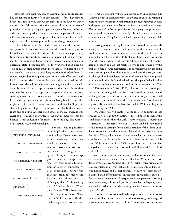It would seem that probation, as a criminal justice entity, is much like the railroad industry of our past century — for it has come to believe that it is in *probation business* rather than the *behavior change business*. Our field seems primarily concerned with the process of probation — insuring adequate supervision, compliance to probation orders and the completion of mounds of attendant paperwork. Process takes center stage rather than a principal focus on strategies and techniques that will encourage positive behavior change (outcomes).

The problem lies in the mindset that pervades the probation and parole field that allows outcomes to take a back seat to process. Consider a recent lament by a deputy director who manages a fairly large community corrections division. Engaged in a discussion regarding the "business of probation" during a recent training session, he offered his state's probation officer of the year award as an example. This annual contest awards much more than a certificate or a new wristwatch — the prize is a week-long vacation in the Caribbean! As can be imagined, staff keep a constant eye on their efforts and work hard to win the prize. However, this deputy director noted the field is so process oriented that whatever agent might win this trip would do so because of timely paperwork completion, more face-to-face meetings than required, comprehensive report writing and punctual court appearances. Yet if outcomes were considered, this same officer, enjoying the sun and waves from a relaxing beach-side cabaña, might be embarrassed to know their caseload detailed a 30 percent absconding rate or a 60 percent recidivism rate. Sadly, this situation is not one-of-a-kind. Another state's officer of the year award is even easier to determine; it is awarded to the staff member who has the highest rate for collection of court fees. Process is king. The business of probation occupies the limelight.

| Motivational Interviewing    |
|------------------------------|
| makes a lot of sense to me   |
| – I mean, it seems to be a   |
| lot like banking. We've got  |
| to make a deposit before     |
| we can expect to make a      |
| withdrawal.                  |
| - Training participant, 2005 |
|                              |
|                              |

For those who might bristle at this implication, a quick inventory is telling: If your department requires new-agent training, how much of that orientation curriculum involves motivational enhancement training or strategies/techniques to encourage positive behavior change? Consider any continuing education training recently conducted by your department. More often than not, training titles would have included phrases such as, "Managing the…," "Supervising the…," "Officer Safety," "Computer Training," "Risk Assessment" or the ubiquitous phrase, "How To Deal With The…(sex offender, dually-diagnosed, hostile client, etc.)" This is not to imply these training topics as unimportant, but rather to point out the sheer absence of any tactical curiosity regarding positive behavior change. Whether training topics or journal articles, both appear pertinent to probation services — not behavior change. The business of probation proliferates. Managing trumps motivating. Supervision obscures relationships. Intimidation overshadows encouragement. Compliance remains in ascendancy. Change is left wanting.

Looking to our past may help us to understand the present, allowing us to examine why we find ourselves in this current state. It would seem we were born into a correctional world that had always known tension between the ideals of punishment and treatment. Our field seems unable to extricate itself from a seemingly hypnotichold of a "tough-as-nails" approach. To try and understand how the probation field became mesmerized is to appreciate two swings of the crime control pendulum that have occurred over the last 50 years. Psychological and sociological theories of criminal behavior gained prominence in the 1940s and helped the principle of rehabilitation of offenders (offender treatment) to flourish throughout the 1950s and 1960s (Gendreau & Ross, 1987). However, evidence to support the treatment paradigm did not keep pace by tracking outcomes and building supportive evidence, so the pendulum swing of correctional policy started to move back to the punishment and "just desserts" approach. Rehabilitation lost favor by the late 1970s and began to recede during the 1980s.

One swing followed another as the ideal of punishment lost ground. Clive Hollin (2000) notes, "If the 1980s saw the fall of the rehabilitation ideal, then the early 1990s witnessed a spectacular resurrection… (this) resurrection of treatment can be directly traced to the impact of a string of meta-analytic studies of the effects of offender treatment published towards the end of the 1980s and into the 1990s." The predominance of punishment had not demonstrated effectiveness, and in many instances, was shown to increase recidivism. With the advent of the 1990s, supervision and treatment has enjoyed more certainty of success (Andrew & Bonta, 2003; Bernfield et al., 2001).

With the current pendulum swing back to treatment, there is a call for motivational enhancement of offenders. With the rise of evidence-based practice, Andrews, et al (1990) details "three principles of effective intervention" that include, (1) risk assessment, (2) targeting criminogenic needs and (3) responsivity. The rubric of "responsivity" is defined as an effort that will "Insure that individuals are suited to the treatment intervention. Be responsive to temperament, learning style, *motivation*, culture and gender of offenders undergoing treatment when assigning and delivering programs." (emphasis added - pps. 374-375)

How then, is probation staff to be responsive to motivational issues and work to enhance offender readiness to change, when a good portion of our criminal justice culture (macro) remains stuck in an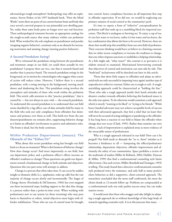adversarial get-tough atmosphere? Anthropology may offer an explanation. Steven Pinker, in his 1997 landmark book, "How the Mind Works" notes there are parts of our current human brain and body that once served a survival purpose in our primordial cave-dwelling past. Yet, today these same body parts no longer serve any real function. These anthropological remnants become an appropriate analogy for the tough-as-nails stance that many embrace within our probation field. What worked for the sole emphasis on punishment and penalty (stopping negative behavior), continues only as an obstacle for increasing motivation and assisting change (starting positive behavior).

### **A Second Pendulum Swing?**

We've witnessed the pendulum swing between the punishment and treatment camps in our field, yet could there actually be two pendulums? I propose there are two, one that is research-based and another that is practice-based. The research pendulum swings in the foreground, set in motion by criminologists who suggest what course of action will reduce crime. However, I believe there is a second pendulum, with a swing moving in the background, moving much slower and shadowing the first. This pendulum swing involves the atmosphere and attitudes of those who work within the probation field. This article calls attention to this "practice pendulum," that is created by — but not always in sync with — the research pendulum. To understand this second pendulum is to understand that our field seems shackled by a lag-effect; out-of-date attitudes held by many in the field who seek not only compliance from offenders but dominance and primacy over them as well. This hold-over from the just desserts/punishment era remains alive, suppressing behavior change as it limits an offender's involvement to passive and submissive roles. The brain is dead, but the body continues.

## **Within Probation Departments (mezzo): The Obstacle of the "Either/Or"**

What about this recent pendulum swing has brought our field back to a focus on treatment? What is this business of behavior change? How does change occur? And more importantly to our field, how can department policy and a probation officer's efforts increase an offender's readiness to change? These questions can guide our departments toward a fundamental change in both attitude and objectives. Questions this two-part series will attempt to address.

Change is a process that often takes time. It can occur by sudden insight or dramatic shifts (i.e., epiphanies, wake up calls) but the vast majority of change occurs slowly and incrementally. The Stages of Change theory (Prochaska & DiClemente, 1983) has even mapped out these incremental steps, lending support to the idea that change is a process rather than a point-in-time event. When working with probationers new to our system (or those returning) who may pose harm to themselves or others, initial objectives must begin with offender stabilization. Those who are out of control must be brought

into control, hence compliance becomes an all-important first step in offender supervision. If we did not, we would be neglecting our primary mission of social control at the community's peril.

It's time to expose a form of "either/or" conceptualization by probation staff that ends up as a stumbling block for improved outcomes. This block is analogous to brewing tea. To enjoy a cup of tea, it's not hot water *or* tea leaves, rather it's hot water *and* tea leaves, the key combination that allows the brew to be served. However, there are those that would strip this sensibility from our own field of probation. Their concrete thinking would have us believe in a limiting contrast; that we either secure compliance *or* increase the readiness to change, that one either imposes sanctions *or* establishes a helping relationship. As a fish might ask, "what water?" this contrast is so pervasive it is seldom noticed or examined. Motivational Interviewing contends that objectives of control and motivation can exist side by side. This "both/and" inclusiveness will be sketched-out later in this article.

Those that show little respect to offenders and adopt an adversarial style are only successful in imposing (once again) another type of unproductive either/or contrast: Either one is tough or soft. A tough, unyielding approach could be characterized as "holding the line." Those who take a tough approach justify their harsh attitudes and abrasive conduct towards offenders believing this hardened stance is the only true option. To do otherwise would constitute a soft approach which is merely "wanting to be liked" or "trying to be friends." While heavy-handed advocates may not achieve acceptable levels of success with their adversarial approach, they feel a relief that (at least) they will never be accused of acting indulgent or pandering to the offender. It has long been a reaction in our field to blame the offender when change does not occur (Clark, 1995). Rather than examine our own efforts, a lack of improvement is explained away as more evidence of the intractable nature of probationers.

Why is a tough approach tolerated in our field? How can it be purged? Our field needs to dissuade the "us vs. them" mindset as it becomes a hindrance to all — hampering the officer/probationer relationship, department objectives, offender improvement and ultimately the safety of our communities. Space prohibits a review of the multitude of studies (Miller & Rollnick, 2002; Hubble, Duncan & Miller, 1999) that find a confrontational counseling style limits effectiveness. One such review, (Miller, Benefield and Tonnigan, 1993) is telling. This study found that a directive-confrontational counselor style produced twice the resistance, and only half as many positive client behaviors as did a supportive, client-centered approach. The researchers concluded that the more staff confronted, the more the clients drank at 12-month follow up. Problems are compounded as a confrontational style not only pushes success away, but can make matters worse.

It would seem that those who swagger and take delight in adopting a tough approach do so without knowledge of this large body of research regarding counselor style. It is at this juncture that many  $\triangleright\triangleright\triangleright$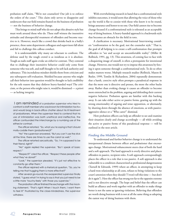probation staff claim, "We're not counselors! Our job is to enforce the orders of the court." This claim only serves to disappoint and underscore that our field remains fixated on the business of probation — not the business of behavior change.

This brings to mind staff who do not adopt this abrasive style but must work around those who do. These staff witness the insensitive attitudes and disrespectful treatment of offenders and become reactive to it. However, much like a crowd that shrinks back in a bully's presence, these same department colleagues and supervisors fall silent and fail to challenge this callous conduct.

It is understandable why many are reluctant to confront. The defense used by the tough crowd is as insidious as it is absolute. Tough-as-nails staff again evoke an either/or contrast. They contend that to challenge their insensitive behavior could only come from someone who was soft, and staff thought to be soft lack authority and substance. This incredulous mindset shields them from criticism and any subsequent self-evaluation. Shielded because anyone who might call their behavior into question would be thought to lack credibility for the sole reason that they disfavor heavy-handed ways! The criticism, or the person who might raise it, would be dismissed — a priori — as lacking integrity.

 I am reminded of a probation supervisor who tried to confront a staff member who was known for intimidation tactics and would brag in back-office chatter about his ill treatment of probationers. When the supervisor tried to contend that his use of intimidation was both unethical and ineffective, the officer confounded the interchange by a numbing use of the either/or contrast.

The officer retorted, "So, what you're saying is that I should molly-coddle them (probationers)?"

"No" the supervisor answered, "But you can't use the stick all the time, there are times to use the carrot as well."

The officer retorted sarcastically, "So, I'm supposed to be their friend, right?"

"No" again replied the supervisor, "But I speak of basic respect."

"Respect?" cried the officer, "Respect these people after what they've done?"

"Look," the supervisor pleaded, "it's just not effective to constantly go after them."

The officer rejoined with a rhetorical question, "So, you're telling me that hugging them is more effective?"

After several go-rounds the exasperated supervisor finally stated, "I guess what I'm trying to say is that you just need to be a little more 'touchy-feely' with those you supervise."

The probation officer finished the exchange with the mocking statement, "That's right! When I touch them, I want them to feel it!" Frustrated by the close-mindedness, the supervisor withdrew.

With overwhelming research in hand that a confrontational style inhibits outcomes, it would seem that allowing the voice of those who say the world is flat to coexist with those who know it to be round, brings assurance and honor to no one. Our field cannot rise to become change focused if a confrontational style is tolerated as an acceptable way of doing business. A heavy-handed approach is a backwards style that becomes an obstacle for the field in toto.

A clarification is necessary. Motivational Interviewing considers "confrontation to be the goal, not the counselor style." That is, the goal of all helping is to create a self-confrontation that prompts offenders to "see and accept an uncomfortable reality" (Miller & Rollnick, 1991, pg. 13). This awareness, of coming face to face with a disquieting image of oneself, is often a prerequisite for intentional change. However, one would not try to impose this awareness by forcing it upon someone through a confrontational style. To do so often makes matters worse. Multiple research studies (Rollnick, Mason & Butler, 1999, Tomlin & Richardson, 2004) repeatedly demonstrate that a harsh, coercive style often prompts a paradoxical response in that the more one is directive and presses, the more the other backs away. Rather than evoking change it causes an offender to become more entrenched in the problem, arguing and defending their current negative behavior. Probation agents are familiar with this backing away. It can take either active or passive forms, gearing up with the strong emotionality of arguing and tense opposition, or alternately, by shutting down through the absence of emotions, as with passiveaggressive silence or a "Who cares?" dismissal.

How probation officers can help an offender to see and examine their situation clearly and change accordingly — all while avoiding the active or passive forms of this paradoxical response — will be outlined in the next article.

### **Finding the Middle Ground**

To understand and further behavior change is to understand the interpersonal climate between officer and probationer that encourages change. Motivational enhancement steers clear of both the hard and a soft approach. The hard approach is overly directive and places offenders in passive, recipient roles. A soft approach correspondingly places the officer in a role that is too passive. A soft approach is also vulnerable to a condition characterized as professional dangerousness (Turnell & Edwards, 1999) where an officer, in attempting to keep a hard-won relationship at all costs, refuses to bring violations to the court's attention when they should ("I won't tell this time — but don't do it again"). Here the officer has swung too far to the opposite extreme and is not directive enough. The hope and belief that the officer can build an alliance and work together with an offender to make things better is not the same as ignoring violations. Believing that offenders are worth doing business with is not at all the same thing as adopting the easiest way of doing business with them.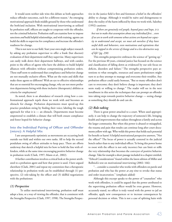It would seem neither side wins this debate as both approaches reduce offender outcomes, each for a different reason.<sup>1</sup> An emerging motivational approach finds middle ground by those who understand the both/and inclusion. With motivational interviewing as utilized by probation staff, officers are taught to cooperate with the offender, not the criminal behavior. Probation staff can examine how to impose sanctions *and* build helpful relationships, and with training, agents can build the skills to supervise for compliance *and* increase the offender's readiness for change.

This is not new to our field. Start your own single subject research by asking any probation supervisor to offer a frank (but discreet) evaluation of their department staff they supervise. Many supervisors can easily walk down their department hallways, and with candor, point to the offices of agents who have the abilities to build helpful alliances with offenders without compromising probation orders. These staff seem to understand that compliance and behavior change are not mutually exclusive efforts. What are the traits and skills that make these agents so different? With an eye to effective relationships that are so essential for encouraging change, why are not more probation departments hiring with these inclusive (therapeutic) abilities as criteria for employment?

As noted, there is an abundance of research citing how a confrontational approach repels those we work with and becomes an obstacle for change. Probation departments must speed-up this practice pendulum swing by finding their voice; labeling the tough approach for what it is — an obstacle. Departments must become empowered to establish a climate that will both ensure compliance and foster hoped-for behavior change.

## **Into the Individual Pairing of Officer and Offender (micro): A Helpful Mix**

I am unrepentantly optimistic as movements are occurring both outside our field and within our own ranks. All to help the second pendulum swing of officer attitudes to keep pace. There are efforts underway that sketch a helpful mix for how to hold the line with offenders, while at the same time encouraging positive behavior change in probation work (Clark, 1997; Mann et.al., 2002).

A further contribution involves a critical look at the power attributed to a probation agent and how that power is used. I have argued elsewhere (Clark, 2001) and repeat my contention that a therapeutic relationship in probation work can be established through (1) perspective, (2) role-taking by the officer and (3) skillful negotiations with the probationer.

### *(1) Perspective*

 To utilize motivational interviewing, probation staff must adopt a lens, or a way of viewing the offender, that is consistent with the Strengths Perspective (Clark, 1997, 1998). The Strengths Perspective in the justice field is first and foremost a belief in the offenders' ability to change. Although it would be naïve and disingenuous to deny the reality of the harm inflicted by those we work with, Saleebey (1992) cautions:

*If there are genuinely evil people, beyond grace and hope, it is best not to make that assumption about any individual first…even if we are to work with someone whose actions are beyond our capacity to understand and accept, we must ask ourselves if they have useful skills and behaviors, even motivations and aspirations that can be tapped in the service of change and to a less-destructive way of life? (pg. 238)*

This strengths perspective embraces the science of "getting up." For the previous 40 years, criminal justice has focused on the science and classification of falling down as evidenced by our sole focus on deficits, disorders and failure.<sup>2</sup> The strengths perspective pays attentions to what strengths, resources and assets probationers might turn to as they attempt to manage and overcome their troubles. Any probation officer could easily bemoan, "But so many offenders don't care to overcome; they don't believe change is important; they don't seem ready or willing to change." The reader will see in the next installment in this series the techniques that can prompt an offender into taking steps towards positive behavior change — seeing change as something they should do and can do.

### *(2) Role-taking*

There is great power attached to a court. When used appropriately, it can help to change the trajectory of someone's life, bringing health and improvements that radiate throughout a family and across the larger community. But when this power is abused or misapplied, the trauma and pain that results can continue long after court documents yellow with age. Who welds this power that holds such potential for benefit or harm? A helpful motivational perspective answers, "Not the officer!" The locus of power is actually centered in the judicial bench rather than to any individual officer. To bring this power home to roost with the officer is not only incorrect but can limit or stifle the very relationship that becomes the conveyor of positive behavior change. Take for example a short passage included in a chapter entitled, "Ethical Considerations" found within the latest edition of Miller and Rollnick's text on motivational interviewing (2002: 166):

"…consider a counselor who works with offenders on parole and probation and who has the power *at any time* to revoke that status and order incarceration." (emphasis added)

Although this excerpt speaks to the power of "counselors" who work with offenders, it could be argued that the power attributed to the supervising probation officer would be even greater. However, accurately stated, no officer is truly vested with the power to jail an offender, apply new consequences or to increase consequences by personal decision or whim. This is not a case of splitting hairs with  $\triangleright\triangleright\triangleright$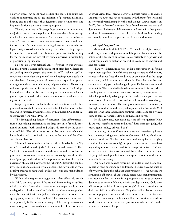a play on words. An agent must petition the court. The court then works to substantiate the alleged violations of probation in a formal hearing and it is the court that determines guilt or innocence and imposes additional sanctions where appropriate.

There is no intent to disparage those who may not understand the judicial process, only to point out how pervasive this misperception has become across our culture. The statement that the probation officer "…has the power at any time to revoke that status and order incarceration…" demonstrates something akin to an unfounded urban legend that gains credibility only through the endless retelling. Legend becomes fact. This mistaken attribution of power is not only limiting for the motivational-inclined officer, but an incorrect understanding of probation jurisprudence.

I do not gloss over personal abuses of power, or even systemic bias that prompts disrespectful treatment of offenders. Officers can and do illegitimately grasp at this power base ("I'll lock you up!") or consistently intimidate as a personal style, heaping abuse dissolutely on offenders. However, abuses of power are not specific to probation agents and can occur within any helping endeavor. Abuses may well crop up with greater frequency in the criminal justice field, yet I would assert that this becomes an ex post facto argument for the greater expansion, rather than preclusion*,* of motivational interviewing within our ranks.

Misperceptions are understandable and easy to overlook when proffered from outside the criminal justice field, but far more troublesome when furthered by criminologists within the field. Consider this short treatise from Mills (1980: 46).

The distinguishing feature of corrections that differentiates it from other helping professions is the large amount of socially sanctioned authority, both actual and delegated, carried by the corrections official…The officer must learn to become comfortable with his authority, and to use it with restraint in the service of the officer and client's objectives.

The reaction of some inexperienced officers is to banish the "big stick," and go hide it in the judge's chambers or in the warden's office. Such officers seem to believe that social casework and counseling can proceed in corrections in the same basis as in an outpatient clinic, that their "good guy in the white hat" image is somehow tarnished by the possession of so much power over their clients. Officers who conduct investigations and counseling while denying their own authority are usually perceived as being weak, and are subject to easy manipulation by their clients.

With all due respect, my suggestion is that officers do exactly what Mills cautions against! Motivational interviewing, as utilized within the field of probation, is determined not to personally assume the big stick. It furthers an officer's ability to influence change when they place the stick with the judge, their supervisor or even to use agency policy as a convenient catch-all. This becomes not a weakness as purported by Mills, but rather a strength. When using motivational interviewing with mandated clients, I am mindful of the distinction

of power versus force: greater power to increase readiness to change and improve outcomes can be harnessed with the use of motivational interviewing by establishing fit with a probationer ("Are we together on this?"), than with use of adversarial force from the me vs. you nexus of dominance.3 I believe the ability to create and maintain a therapeutic relationship — so essential to the spirit of motivational interviewing — can only be realized by placing the big stick with others.

### *(3) Skillful Negotiation*

Miller and Rollnick (2002: 173-174) detailed a helpful example of this negotiation with probationers. It begins with an honest explanation of the duality of an officer's roles: certainly to supervise and report compliance to probation orders but also to act as a helper and lend assistance:

I have two different roles here, and it is sometimes tricky for me to put them together. One of them is as a representative of the court, to ensure that you keep the conditions of probation that the judge set for you, and I have to honor this role. The other is to be your counselor, to help you make changes in your life that we agree would be beneficial. There are also likely to be some areas we'll discover, where I am hoping to see a change that you're not sure you want to make. What I hope is that by talking together here (when you report), we can resolve some of those differences and are able to find areas of change we can agree on. I'm sure I'll be asking you to consider some changes that right now don't sound very good to you, and that's normal. We'll keep exploring those issues during our time together, and see if we can come to some agreement. How does that sound to you?

Should compliance become an issue, the officer negotiates "How do we (you, significant others and myself) keep them (the judge, the court, agency policy) off your back?"

In training, I find staff new to motivational interviewing have a hard time negotiating these dual roles. Concrete thinking of either/or tends to dominate. "I either supervise or seek compliance (applying sanctions for failure to comply) or I practice motivational interviewing and try to motivate and establish a therapeutic alliance." It's not tea leaves or water; it's a good-enough blend that creates the brew. Helping staff to adopt a both/and conception is central to the business of behavior change.

Our field's ambivalence regarding intimidation and heavy confrontation must be systemically addressed. There is a tiresome practice of privately judging this behavior as reprehensible — yet publicly we say nothing. If behavior change is truly paramount, then intimidation and heavy-handed treatment is inappropriate and must be openly denounced across our field and within our departments. Only then will we stop the false dichotomy of tough/soft which continues to drain our field of its effectiveness. Only then will probation departments be populated with staff that can enforce orders and increase the readiness to change. Only then will a true decision be made as to whether we're in the business of probation or whether we're in the business of behavior change.